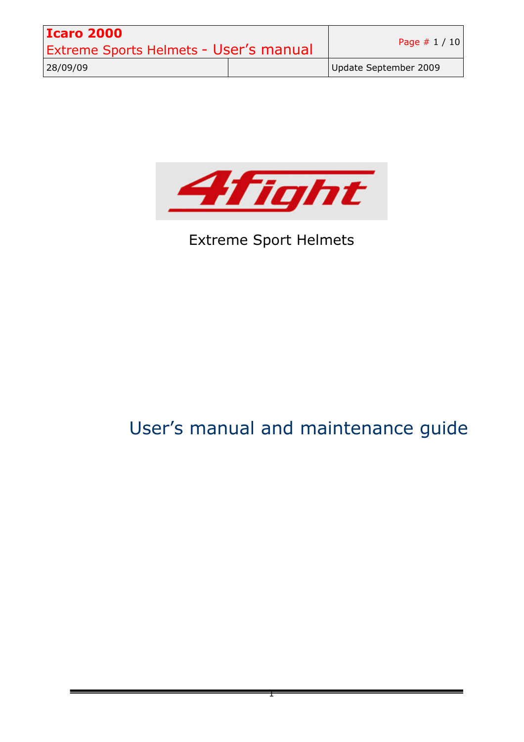| <b>Icaro 2000</b>                             |  |                       |
|-----------------------------------------------|--|-----------------------|
| <b>Extreme Sports Helmets - User's manual</b> |  | Page $# 1 / 10$       |
| 28/09/09                                      |  | Update September 2009 |



# Extreme Sport Helmets

# User's manual and maintenance guide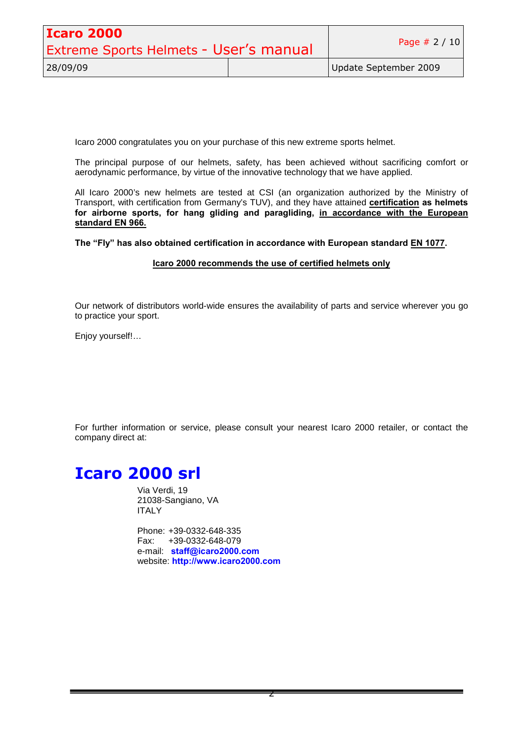| <b>Icaro 2000</b>                      |  | Page $# 2 / 10$       |
|----------------------------------------|--|-----------------------|
| Extreme Sports Helmets - User's manual |  |                       |
| 28/09/09                               |  | Update September 2009 |

Icaro 2000 congratulates you on your purchase of this new extreme sports helmet.

The principal purpose of our helmets, safety, has been achieved without sacrificing comfort or aerodynamic performance, by virtue of the innovative technology that we have applied.

All Icaro 2000's new helmets are tested at CSI (an organization authorized by the Ministry of Transport, with certification from Germany's TUV), and they have attained **certification as helmets for airborne sports, for hang gliding and paragliding, in accordance with the European standard EN 966.**

**The "Fly" has also obtained certification in accordance with European standard EN 1077.**

#### **Icaro 2000 recommends the use of certified helmets only**

Our network of distributors world-wide ensures the availability of parts and service wherever you go to practice your sport.

Enjoy yourself!...

For further information or service, please consult your nearest Icaro 2000 retailer, or contact the company direct at:

# **Icaro 2000 srl**

Via Verdi, 19 21038-Sangiano, VA **ITALY** 

Phone: +39-0332-648-335 Fax: +39-0332-648-079 e-mail: **staff@icaro2000.com** website: **http://www.icaro2000.com**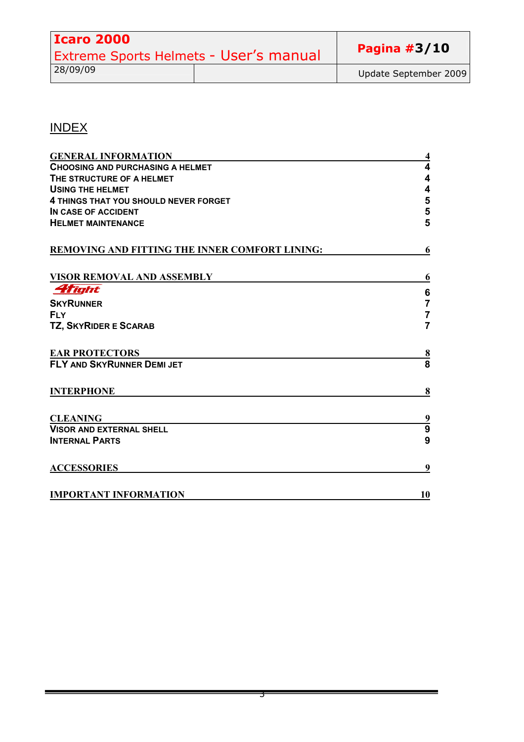| <b>Icaro 2000</b>                      |  |                       |
|----------------------------------------|--|-----------------------|
| Extreme Sports Helmets - User's manual |  | Pagina $#3/10$        |
| 28/09/09                               |  | Update September 2009 |

## INDEX

| <b>GENERAL INFORMATION</b>                     | 4                       |
|------------------------------------------------|-------------------------|
| <b>CHOOSING AND PURCHASING A HELMET</b>        | $\overline{\mathbf{4}}$ |
| THE STRUCTURE OF A HELMET                      | 4                       |
| <b>USING THE HELMET</b>                        | $\overline{\mathbf{4}}$ |
| 4 THINGS THAT YOU SHOULD NEVER FORGET          | 5                       |
| IN CASE OF ACCIDENT                            | 5                       |
| <b>HELMET MAINTENANCE</b>                      | 5                       |
| REMOVING AND FITTING THE INNER COMFORT LINING: | 6                       |
| <b>VISOR REMOVAL AND ASSEMBLY</b>              | 6                       |
| <i><b>Aflight</b></i>                          | $\bf 6$                 |
| <b>SKYRUNNER</b>                               | $\overline{7}$          |
| <b>FLY</b>                                     | $\overline{7}$          |
| TZ, SKYRIDER E SCARAB                          | $\overline{7}$          |
| <b>EAR PROTECTORS</b>                          |                         |
| <b>FLY AND SKYRUNNER DEMI JET</b>              | $\frac{8}{8}$           |
| <b>INTERPHONE</b>                              | 8                       |
| <b>CLEANING</b>                                | $\frac{9}{9}$           |
| <b>VISOR AND EXTERNAL SHELL</b>                |                         |
| <b>INTERNAL PARTS</b>                          | 9                       |
| <b>ACCESSORIES</b>                             | 9                       |
| <b>IMPORTANT INFORMATION</b>                   | 10                      |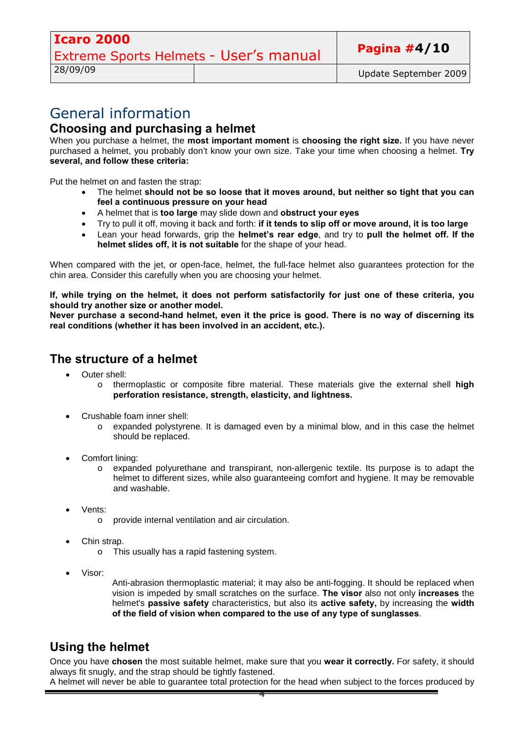### General information **Choosing and purchasing a helmet**

When you purchase a helmet, the **most important moment** is **choosing the right size.** If you have never purchased a helmet, you probably don't know your own size. Take your time when choosing a helmet. **Try several, and follow these criteria:**

Put the helmet on and fasten the strap:

- The helmet **should not be so loose that it moves around, but neither so tight that you can feel a continuous pressure on your head**
- A helmet that is **too large** may slide down and **obstruct your eyes**
- Try to pull it off, moving it back and forth: **if it tends to slip off or move around, it is too large**
- Lean your head forwards, grip the **helmet's rear edge**, and try to **pull the helmet off. If the helmet slides off, it is not suitable** for the shape of your head.

When compared with the jet, or open-face, helmet, the full-face helmet also guarantees protection for the chin area. Consider this carefully when you are choosing your helmet.

**If, while trying on the helmet, it does not perform satisfactorily for just one of these criteria, you should try another size or another model.**

**Never purchase a second-hand helmet, even it the price is good. There is no way of discerning its real conditions (whether it has been involved in an accident, etc.).**

### **The structure of a helmet**

- Outer shell:
	- o thermoplastic or composite fibre material. These materials give the external shell **high perforation resistance, strength, elasticity, and lightness.**
- Crushable foam inner shell:
	- o expanded polystyrene. It is damaged even by a minimal blow, and in this case the helmet should be replaced.
- Comfort lining:
	- o expanded polyurethane and transpirant, non-allergenic textile. Its purpose is to adapt the helmet to different sizes, while also guaranteeing comfort and hygiene. It may be removable and washable.
- Vents:
	- o provide internal ventilation and air circulation.
- Chin strap.
	- o This usually has a rapid fastening system.
- Visor:

Anti-abrasion thermoplastic material; it may also be anti-fogging. It should be replaced when vision is impeded by small scratches on the surface. **The visor** also not only **increases** the helmet's **passive safety** characteristics, but also its **active safety,** by increasing the **width of the field of vision when compared to the use of any type of sunglasses**.

### **Using the helmet**

Once you have **chosen** the most suitable helmet, make sure that you **wear it correctly.** For safety, it should always fit snugly, and the strap should be tightly fastened.

A helmet will never be able to guarantee total protection for the head when subject to the forces produced by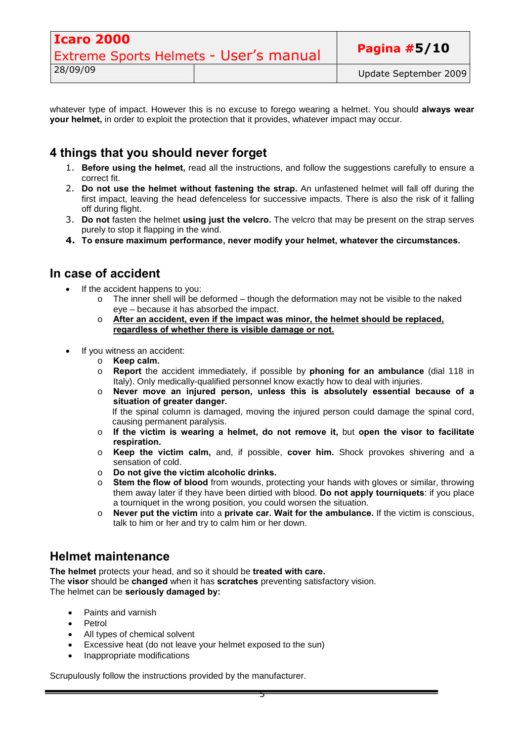| <b>Icaro 2000</b>                             |  |                       |
|-----------------------------------------------|--|-----------------------|
| <b>Extreme Sports Helmets - User's manual</b> |  | Pagina $#5/10$        |
| 28/09/09                                      |  | Update September 2009 |

whatever type of impact. However this is no excuse to forego wearing a helmet. You should **always wear your helmet,** in order to exploit the protection that it provides, whatever impact may occur.

### **4 things that you should never forget**

- 1. **Before using the helmet,** read all the instructions, and follow the suggestions carefully to ensure a correct fit.
- 2. **Do not use the helmet without fastening the strap.** An unfastened helmet will fall off during the first impact, leaving the head defenceless for successive impacts. There is also the risk of it falling off during flight.
- 3. **Do not** fasten the helmet **using just the velcro.** The velcro that may be present on the strap serves purely to stop it flapping in the wind.
- **4. To ensure maximum performance, never modify your helmet, whatever the circumstances.**

### **In case of accident**

- If the accident happens to you:
	- $\circ$  The inner shell will be deformed though the deformation may not be visible to the naked eye – because it has absorbed the impact.
	- o **After an accident, even if the impact was minor, the helmet should be replaced, regardless of whether there is visible damage or not.**
- If you witness an accident:
	- o **Keep calm.**
	- o **Report** the accident immediately, if possible by **phoning for an ambulance** (dial 118 in Italy). Only medically-qualified personnel know exactly how to deal with injuries.
	- o **Never move an injured person, unless this is absolutely essential because of a situation of greater danger.**

If the spinal column is damaged, moving the injured person could damage the spinal cord, causing permanent paralysis.

- o **If the victim is wearing a helmet, do not remove it,** but **open the visor to facilitate respiration.**
- o **Keep the victim calm,** and, if possible, **cover him.** Shock provokes shivering and a sensation of cold.
- o **Do not give the victim alcoholic drinks.**
- o **Stem the flow of blood** from wounds, protecting your hands with gloves or similar, throwing them away later if they have been dirtied with blood. **Do not apply tourniquets**: if you place a tourniquet in the wrong position, you could worsen the situation.
- o **Never put the victim** into a **private car. Wait for the ambulance.** If the victim is conscious, talk to him or her and try to calm him or her down.

### **Helmet maintenance**

**The helmet** protects your head, and so it should be **treated with care.** The **visor** should be **changed** when it has **scratches** preventing satisfactory vision. The helmet can be **seriously damaged by:**

- Paints and varnish
- Petrol
- All types of chemical solvent
- Excessive heat (do not leave your helmet exposed to the sun)
- Inappropriate modifications

Scrupulously follow the instructions provided by the manufacturer.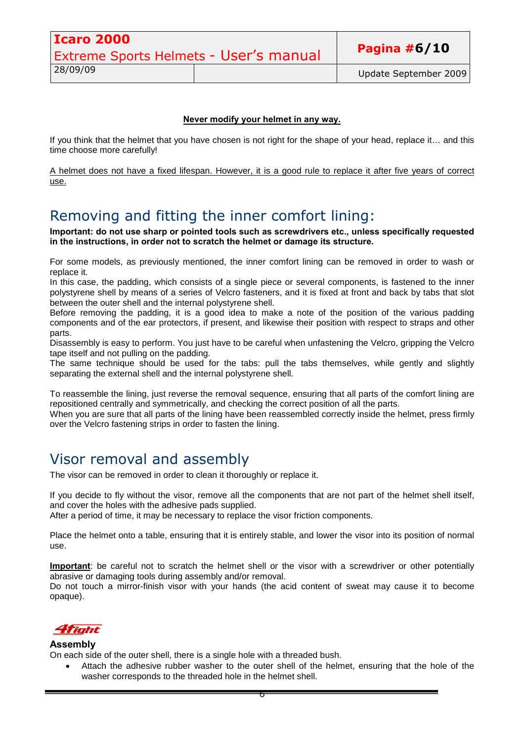| <b>Icaro 2000</b>                      |  |                       |
|----------------------------------------|--|-----------------------|
| Extreme Sports Helmets - User's manual |  | Pagina $#6/10$        |
| 28/09/09                               |  | Update September 2009 |

#### **Never modify your helmet in any way.**

If you think that the helmet that you have chosen is not right for the shape of your head, replace it… and this time choose more carefully!

A helmet does not have a fixed lifespan. However, it is a good rule to replace it after five years of correct use.

### Removing and fitting the inner comfort lining:

**Important: do not use sharp or pointed tools such as screwdrivers etc., unless specifically requested in the instructions, in order not to scratch the helmet or damage its structure.**

For some models, as previously mentioned, the inner comfort lining can be removed in order to wash or replace it.

In this case, the padding, which consists of a single piece or several components, is fastened to the inner polystyrene shell by means of a series of Velcro fasteners, and it is fixed at front and back by tabs that slot between the outer shell and the internal polystyrene shell.

Before removing the padding, it is a good idea to make a note of the position of the various padding components and of the ear protectors, if present, and likewise their position with respect to straps and other parts.

Disassembly is easy to perform. You just have to be careful when unfastening the Velcro, gripping the Velcro tape itself and not pulling on the padding.

The same technique should be used for the tabs: pull the tabs themselves, while gently and slightly separating the external shell and the internal polystyrene shell.

To reassemble the lining, just reverse the removal sequence, ensuring that all parts of the comfort lining are repositioned centrally and symmetrically, and checking the correct position of all the parts.

When you are sure that all parts of the lining have been reassembled correctly inside the helmet, press firmly over the Velcro fastening strips in order to fasten the lining.

### Visor removal and assembly

The visor can be removed in order to clean it thoroughly or replace it.

If you decide to fly without the visor, remove all the components that are not part of the helmet shell itself, and cover the holes with the adhesive pads supplied.

After a period of time, it may be necessary to replace the visor friction components.

Place the helmet onto a table, ensuring that it is entirely stable, and lower the visor into its position of normal use.

**Important**: be careful not to scratch the helmet shell or the visor with a screwdriver or other potentially abrasive or damaging tools during assembly and/or removal.

Do not touch a mirror-finish visor with your hands (the acid content of sweat may cause it to become opaque).



#### **Assembly**

On each side of the outer shell, there is a single hole with a threaded bush.

 Attach the adhesive rubber washer to the outer shell of the helmet, ensuring that the hole of the washer corresponds to the threaded hole in the helmet shell.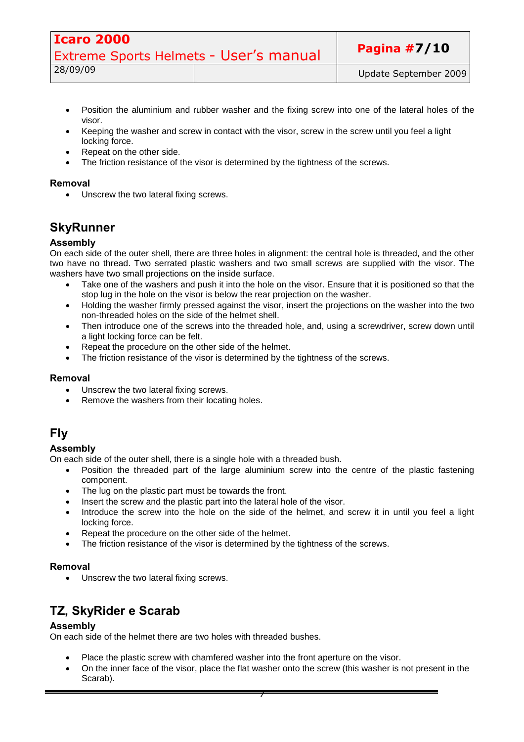| <b>Icaro 2000</b>                      |  |                       |
|----------------------------------------|--|-----------------------|
| Extreme Sports Helmets - User's manual |  | Pagina $#7/10$        |
| 28/09/09                               |  | Update September 2009 |

- Position the aluminium and rubber washer and the fixing screw into one of the lateral holes of the visor.
- Keeping the washer and screw in contact with the visor, screw in the screw until you feel a light locking force.
- Repeat on the other side.
- The friction resistance of the visor is determined by the tightness of the screws.

#### **Removal**

• Unscrew the two lateral fixing screws.

### **SkyRunner**

#### **Assembly**

On each side of the outer shell, there are three holes in alignment: the central hole is threaded, and the other two have no thread. Two serrated plastic washers and two small screws are supplied with the visor. The washers have two small projections on the inside surface.

- Take one of the washers and push it into the hole on the visor. Ensure that it is positioned so that the stop lug in the hole on the visor is below the rear projection on the washer.
- Holding the washer firmly pressed against the visor, insert the projections on the washer into the two non-threaded holes on the side of the helmet shell.
- Then introduce one of the screws into the threaded hole, and, using a screwdriver, screw down until a light locking force can be felt.
- Repeat the procedure on the other side of the helmet.
- The friction resistance of the visor is determined by the tightness of the screws.

#### **Removal**

- Unscrew the two lateral fixing screws.
- Remove the washers from their locating holes.

### **Fly**

#### **Assembly**

On each side of the outer shell, there is a single hole with a threaded bush.

- Position the threaded part of the large aluminium screw into the centre of the plastic fastening component.
- The lug on the plastic part must be towards the front.
- Insert the screw and the plastic part into the lateral hole of the visor.
- Introduce the screw into the hole on the side of the helmet, and screw it in until you feel a light locking force.
- Repeat the procedure on the other side of the helmet.
- The friction resistance of the visor is determined by the tightness of the screws.

#### **Removal**

• Unscrew the two lateral fixing screws.

### **TZ, SkyRider e Scarab**

#### **Assembly**

On each side of the helmet there are two holes with threaded bushes.

- Place the plastic screw with chamfered washer into the front aperture on the visor.
- On the inner face of the visor, place the flat washer onto the screw (this washer is not present in the Scarab).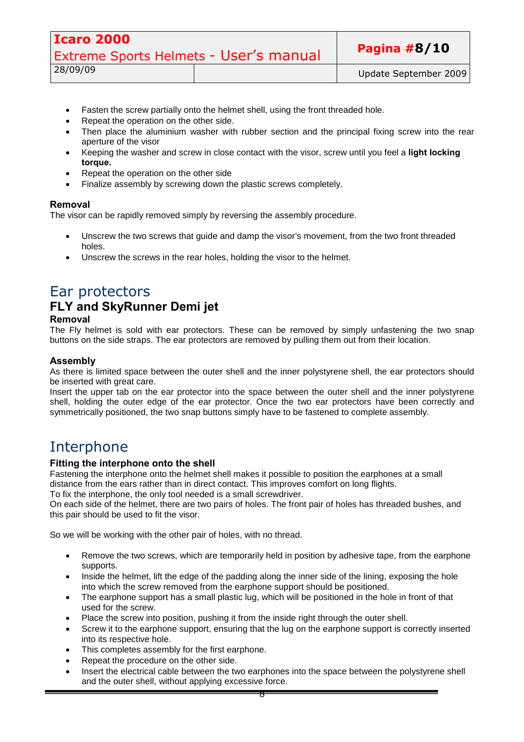| <b>Icaro 2000</b>                      |  |                       |
|----------------------------------------|--|-----------------------|
| Extreme Sports Helmets - User's manual |  | Pagina $#8/10$        |
| 28/09/09                               |  | Update September 2009 |

- Fasten the screw partially onto the helmet shell, using the front threaded hole.
- Repeat the operation on the other side.
- Then place the aluminium washer with rubber section and the principal fixing screw into the rear aperture of the visor
- Keeping the washer and screw in close contact with the visor, screw until you feel a **light locking torque.**
- Repeat the operation on the other side
- Finalize assembly by screwing down the plastic screws completely.

#### **Removal**

The visor can be rapidly removed simply by reversing the assembly procedure.

- Unscrew the two screws that guide and damp the visor's movement, from the two front threaded holes.
- Unscrew the screws in the rear holes, holding the visor to the helmet.

### Ear protectors

### **FLY and SkyRunner Demi jet**

#### **Removal**

The Fly helmet is sold with ear protectors. These can be removed by simply unfastening the two snap buttons on the side straps. The ear protectors are removed by pulling them out from their location.

#### **Assembly**

As there is limited space between the outer shell and the inner polystyrene shell, the ear protectors should be inserted with great care.

Insert the upper tab on the ear protector into the space between the outer shell and the inner polystyrene shell, holding the outer edge of the ear protector. Once the two ear protectors have been correctly and symmetrically positioned, the two snap buttons simply have to be fastened to complete assembly.

### Interphone

#### **Fitting the interphone onto the shell**

Fastening the interphone onto the helmet shell makes it possible to position the earphones at a small distance from the ears rather than in direct contact. This improves comfort on long flights. To fix the interphone, the only tool needed is a small screwdriver.

On each side of the helmet, there are two pairs of holes. The front pair of holes has threaded bushes, and this pair should be used to fit the visor.

So we will be working with the other pair of holes, with no thread.

- Remove the two screws, which are temporarily held in position by adhesive tape, from the earphone supports.
- Inside the helmet, lift the edge of the padding along the inner side of the lining, exposing the hole into which the screw removed from the earphone support should be positioned.
- The earphone support has a small plastic lug, which will be positioned in the hole in front of that used for the screw.
- Place the screw into position, pushing it from the inside right through the outer shell.
- Screw it to the earphone support, ensuring that the lug on the earphone support is correctly inserted into its respective hole.
- This completes assembly for the first earphone.
- Repeat the procedure on the other side.
- Insert the electrical cable between the two earphones into the space between the polystyrene shell and the outer shell, without applying excessive force.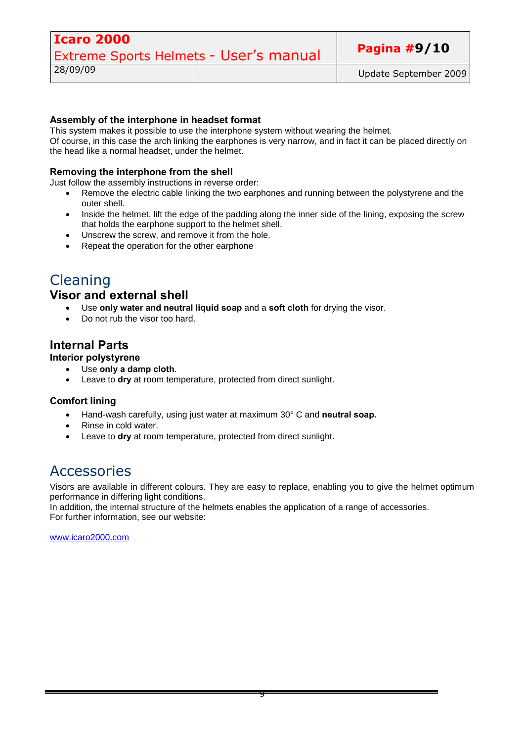| Icaro 2000                                    |  |                       |
|-----------------------------------------------|--|-----------------------|
| <b>Extreme Sports Helmets - User's manual</b> |  | Pagina $#9/10$        |
| 28/09/09                                      |  | Update September 2009 |

#### **Assembly of the interphone in headset format**

This system makes it possible to use the interphone system without wearing the helmet.

Of course, in this case the arch linking the earphones is very narrow, and in fact it can be placed directly on the head like a normal headset, under the helmet.

#### **Removing the interphone from the shell**

Just follow the assembly instructions in reverse order:

- Remove the electric cable linking the two earphones and running between the polystyrene and the outer shell.
- Inside the helmet, lift the edge of the padding along the inner side of the lining, exposing the screw that holds the earphone support to the helmet shell.
- Unscrew the screw, and remove it from the hole.
- Repeat the operation for the other earphone

### Cleaning

#### **Visor and external shell**

- Use **only water and neutral liquid soap** and a **soft cloth** for drying the visor.
- Do not rub the visor too hard.

#### **Internal Parts**

#### **Interior polystyrene**

- Use **only a damp cloth**.
	- Leave to **dry** at room temperature, protected from direct sunlight.

#### **Comfort lining**

- Hand-wash carefully, using just water at maximum 30° C and **neutral soap.**
- Rinse in cold water.
- Leave to **dry** at room temperature, protected from direct sunlight.

### Accessories

Visors are available in different colours. They are easy to replace, enabling you to give the helmet optimum performance in differing light conditions.

In addition, the internal structure of the helmets enables the application of a range of accessories. For further information, see our website:

www.icaro2000.com